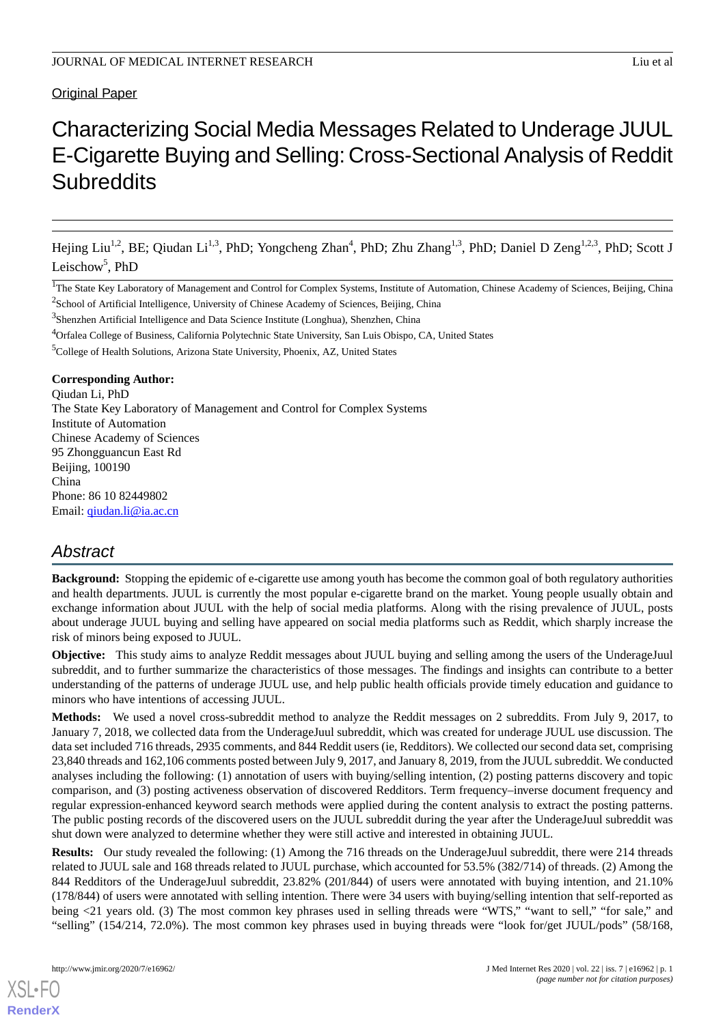## Original Paper

# Characterizing Social Media Messages Related to Underage JUUL E-Cigarette Buying and Selling: Cross-Sectional Analysis of Reddit **Subreddits**

Hejing Liu<sup>1,2</sup>, BE; Qiudan Li<sup>1,3</sup>, PhD; Yongcheng Zhan<sup>4</sup>, PhD; Zhu Zhang<sup>1,3</sup>, PhD; Daniel D Zeng<sup>1,2,3</sup>, PhD; Scott J Leischow<sup>5</sup>, PhD

<sup>3</sup>Shenzhen Artificial Intelligence and Data Science Institute (Longhua), Shenzhen, China

### **Corresponding Author:**

Qiudan Li, PhD The State Key Laboratory of Management and Control for Complex Systems Institute of Automation Chinese Academy of Sciences 95 Zhongguancun East Rd Beijing, 100190 China Phone: 86 10 82449802 Email: [qiudan.li@ia.ac.cn](mailto:qiudan.li@ia.ac.cn)

## *Abstract*

**Background:** Stopping the epidemic of e-cigarette use among youth has become the common goal of both regulatory authorities and health departments. JUUL is currently the most popular e-cigarette brand on the market. Young people usually obtain and exchange information about JUUL with the help of social media platforms. Along with the rising prevalence of JUUL, posts about underage JUUL buying and selling have appeared on social media platforms such as Reddit, which sharply increase the risk of minors being exposed to JUUL.

**Objective:** This study aims to analyze Reddit messages about JUUL buying and selling among the users of the UnderageJuul subreddit, and to further summarize the characteristics of those messages. The findings and insights can contribute to a better understanding of the patterns of underage JUUL use, and help public health officials provide timely education and guidance to minors who have intentions of accessing JUUL.

**Methods:** We used a novel cross-subreddit method to analyze the Reddit messages on 2 subreddits. From July 9, 2017, to January 7, 2018, we collected data from the UnderageJuul subreddit, which was created for underage JUUL use discussion. The data set included 716 threads, 2935 comments, and 844 Reddit users (ie, Redditors). We collected our second data set, comprising 23,840 threads and 162,106 comments posted between July 9, 2017, and January 8, 2019, from the JUUL subreddit. We conducted analyses including the following: (1) annotation of users with buying/selling intention, (2) posting patterns discovery and topic comparison, and (3) posting activeness observation of discovered Redditors. Term frequency–inverse document frequency and regular expression-enhanced keyword search methods were applied during the content analysis to extract the posting patterns. The public posting records of the discovered users on the JUUL subreddit during the year after the UnderageJuul subreddit was shut down were analyzed to determine whether they were still active and interested in obtaining JUUL.

**Results:** Our study revealed the following: (1) Among the 716 threads on the UnderageJuul subreddit, there were 214 threads related to JUUL sale and 168 threads related to JUUL purchase, which accounted for 53.5% (382/714) of threads. (2) Among the 844 Redditors of the UnderageJuul subreddit, 23.82% (201/844) of users were annotated with buying intention, and 21.10% (178/844) of users were annotated with selling intention. There were 34 users with buying/selling intention that self-reported as being <21 years old. (3) The most common key phrases used in selling threads were "WTS," "want to sell," "for sale," and "selling" (154/214, 72.0%). The most common key phrases used in buying threads were "look for/get JUUL/pods" (58/168,

[XSL](http://www.w3.org/Style/XSL)•FO **[RenderX](http://www.renderx.com/)**

<sup>&</sup>lt;sup>1</sup>The State Key Laboratory of Management and Control for Complex Systems, Institute of Automation, Chinese Academy of Sciences, Beijing, China  $2$ School of Artificial Intelligence, University of Chinese Academy of Sciences, Beijing, China

<sup>4</sup>Orfalea College of Business, California Polytechnic State University, San Luis Obispo, CA, United States

<sup>&</sup>lt;sup>5</sup>College of Health Solutions, Arizona State University, Phoenix, AZ, United States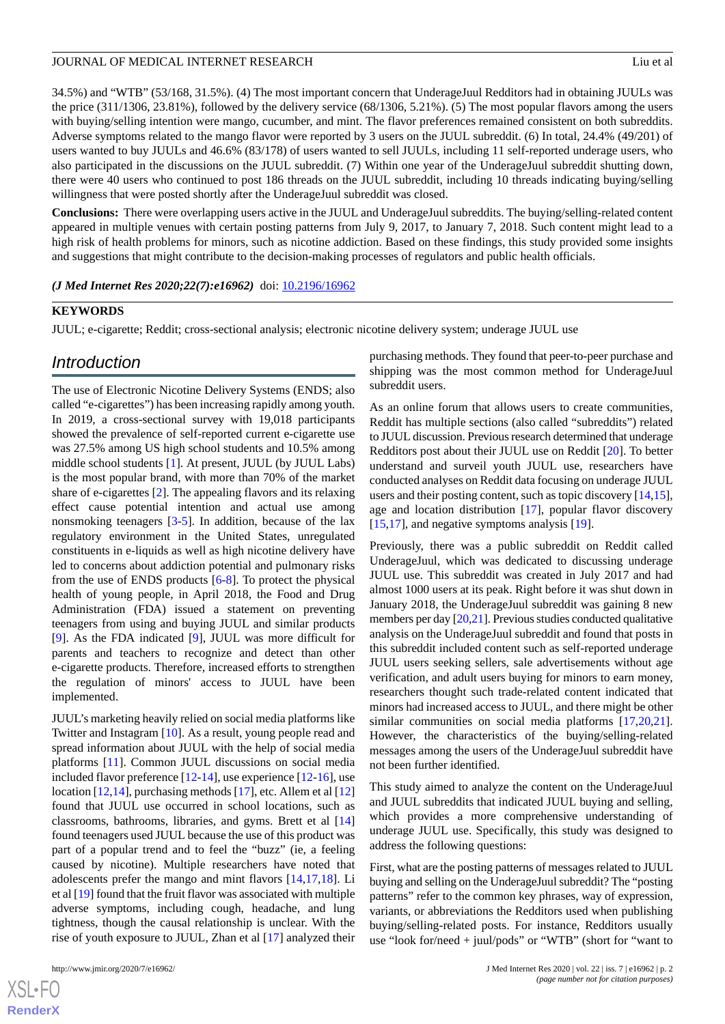34.5%) and "WTB" (53/168, 31.5%). (4) The most important concern that UnderageJuul Redditors had in obtaining JUULs was the price (311/1306, 23.81%), followed by the delivery service (68/1306, 5.21%). (5) The most popular flavors among the users with buying/selling intention were mango, cucumber, and mint. The flavor preferences remained consistent on both subreddits. Adverse symptoms related to the mango flavor were reported by 3 users on the JUUL subreddit. (6) In total, 24.4% (49/201) of users wanted to buy JUULs and 46.6% (83/178) of users wanted to sell JUULs, including 11 self-reported underage users, who also participated in the discussions on the JUUL subreddit. (7) Within one year of the UnderageJuul subreddit shutting down, there were 40 users who continued to post 186 threads on the JUUL subreddit, including 10 threads indicating buying/selling willingness that were posted shortly after the UnderageJuul subreddit was closed.

**Conclusions:** There were overlapping users active in the JUUL and UnderageJuul subreddits. The buying/selling-related content appeared in multiple venues with certain posting patterns from July 9, 2017, to January 7, 2018. Such content might lead to a high risk of health problems for minors, such as nicotine addiction. Based on these findings, this study provided some insights and suggestions that might contribute to the decision-making processes of regulators and public health officials.

*(J Med Internet Res 2020;22(7):e16962)* doi:  $10.2196/16962$ 

## **KEYWORDS**

JUUL; e-cigarette; Reddit; cross-sectional analysis; electronic nicotine delivery system; underage JUUL use

## *Introduction*

The use of Electronic Nicotine Delivery Systems (ENDS; also called "e-cigarettes") has been increasing rapidly among youth. In 2019, a cross-sectional survey with 19,018 participants showed the prevalence of self-reported current e-cigarette use was 27.5% among US high school students and 10.5% among middle school students [[1\]](#page-10-0). At present, JUUL (by JUUL Labs) is the most popular brand, with more than 70% of the market share of e-cigarettes [\[2](#page-10-1)]. The appealing flavors and its relaxing effect cause potential intention and actual use among nonsmoking teenagers [[3](#page-10-2)[-5](#page-10-3)]. In addition, because of the lax regulatory environment in the United States, unregulated constituents in e-liquids as well as high nicotine delivery have led to concerns about addiction potential and pulmonary risks from the use of ENDS products [\[6](#page-10-4)-[8\]](#page-10-5). To protect the physical health of young people, in April 2018, the Food and Drug Administration (FDA) issued a statement on preventing teenagers from using and buying JUUL and similar products [[9\]](#page-10-6). As the FDA indicated [\[9](#page-10-6)], JUUL was more difficult for parents and teachers to recognize and detect than other e-cigarette products. Therefore, increased efforts to strengthen the regulation of minors' access to JUUL have been implemented.

JUUL's marketing heavily relied on social media platforms like Twitter and Instagram [[10\]](#page-10-7). As a result, young people read and spread information about JUUL with the help of social media platforms [[11\]](#page-10-8). Common JUUL discussions on social media included flavor preference [\[12](#page-10-9)[-14](#page-11-0)], use experience [\[12](#page-10-9)[-16](#page-11-1)], use location [\[12](#page-10-9),[14\]](#page-11-0), purchasing methods [[17\]](#page-11-2), etc. Allem et al [12] found that JUUL use occurred in school locations, such as classrooms, bathrooms, libraries, and gyms. Brett et al [\[14](#page-11-0)] found teenagers used JUUL because the use of this product was part of a popular trend and to feel the "buzz" (ie, a feeling caused by nicotine). Multiple researchers have noted that adolescents prefer the mango and mint flavors [[14,](#page-11-0)[17](#page-11-2),[18\]](#page-11-3). Li et al [\[19\]](#page-11-4) found that the fruit flavor was associated with multiple adverse symptoms, including cough, headache, and lung tightness, though the causal relationship is unclear. With the rise of youth exposure to JUUL, Zhan et al [[17\]](#page-11-2) analyzed their

 $XS$  $\cdot$ FC **[RenderX](http://www.renderx.com/)** purchasing methods. They found that peer-to-peer purchase and shipping was the most common method for UnderageJuul subreddit users.

As an online forum that allows users to create communities, Reddit has multiple sections (also called "subreddits") related to JUUL discussion. Previous research determined that underage Redditors post about their JUUL use on Reddit [[20\]](#page-11-5). To better understand and surveil youth JUUL use, researchers have conducted analyses on Reddit data focusing on underage JUUL users and their posting content, such as topic discovery [\[14](#page-11-0),[15\]](#page-11-6), age and location distribution [\[17](#page-11-2)], popular flavor discovery [[15,](#page-11-6)[17\]](#page-11-2), and negative symptoms analysis [\[19](#page-11-4)].

Previously, there was a public subreddit on Reddit called UnderageJuul, which was dedicated to discussing underage JUUL use. This subreddit was created in July 2017 and had almost 1000 users at its peak. Right before it was shut down in January 2018, the UnderageJuul subreddit was gaining 8 new members per day [\[20](#page-11-5),[21](#page-11-7)]. Previous studies conducted qualitative analysis on the UnderageJuul subreddit and found that posts in this subreddit included content such as self-reported underage JUUL users seeking sellers, sale advertisements without age verification, and adult users buying for minors to earn money, researchers thought such trade-related content indicated that minors had increased access to JUUL, and there might be other similar communities on social media platforms [[17](#page-11-2)[,20](#page-11-5),[21\]](#page-11-7). However, the characteristics of the buying/selling-related messages among the users of the UnderageJuul subreddit have not been further identified.

This study aimed to analyze the content on the UnderageJuul and JUUL subreddits that indicated JUUL buying and selling, which provides a more comprehensive understanding of underage JUUL use. Specifically, this study was designed to address the following questions:

First, what are the posting patterns of messages related to JUUL buying and selling on the UnderageJuul subreddit? The "posting patterns" refer to the common key phrases, way of expression, variants, or abbreviations the Redditors used when publishing buying/selling-related posts. For instance, Redditors usually use "look for/need + juul/pods" or "WTB" (short for "want to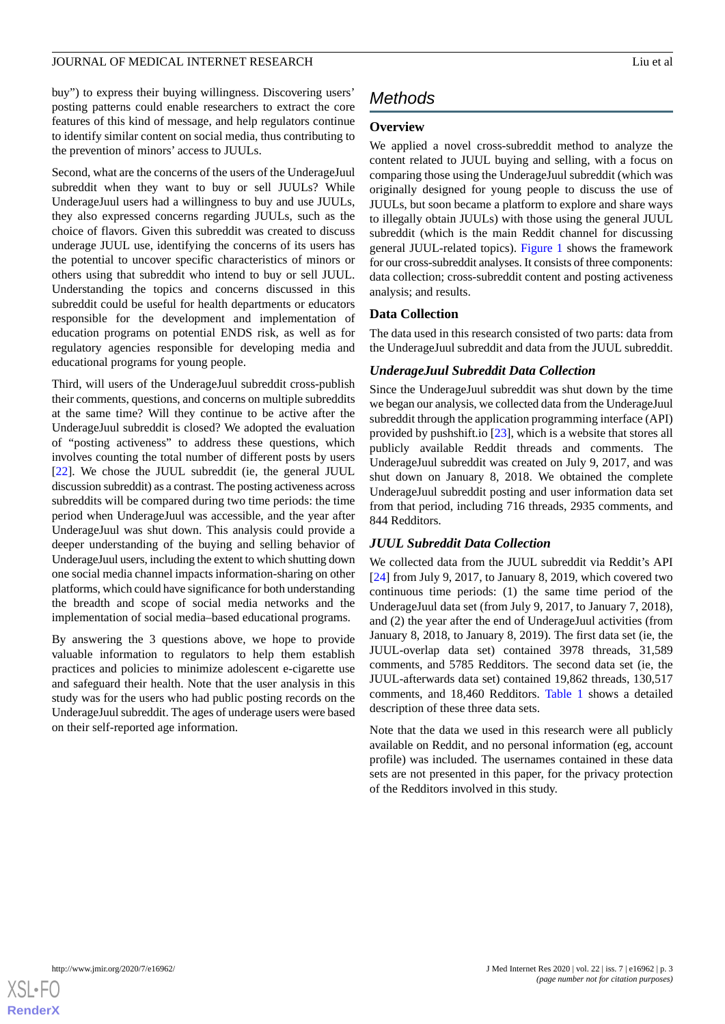buy") to express their buying willingness. Discovering users' posting patterns could enable researchers to extract the core features of this kind of message, and help regulators continue to identify similar content on social media, thus contributing to the prevention of minors' access to JUULs.

Second, what are the concerns of the users of the UnderageJuul subreddit when they want to buy or sell JUULs? While UnderageJuul users had a willingness to buy and use JUULs, they also expressed concerns regarding JUULs, such as the choice of flavors. Given this subreddit was created to discuss underage JUUL use, identifying the concerns of its users has the potential to uncover specific characteristics of minors or others using that subreddit who intend to buy or sell JUUL. Understanding the topics and concerns discussed in this subreddit could be useful for health departments or educators responsible for the development and implementation of education programs on potential ENDS risk, as well as for regulatory agencies responsible for developing media and educational programs for young people.

Third, will users of the UnderageJuul subreddit cross-publish their comments, questions, and concerns on multiple subreddits at the same time? Will they continue to be active after the UnderageJuul subreddit is closed? We adopted the evaluation of "posting activeness" to address these questions, which involves counting the total number of different posts by users [[22\]](#page-11-8). We chose the JUUL subreddit (ie, the general JUUL discussion subreddit) as a contrast. The posting activeness across subreddits will be compared during two time periods: the time period when UnderageJuul was accessible, and the year after UnderageJuul was shut down. This analysis could provide a deeper understanding of the buying and selling behavior of UnderageJuul users, including the extent to which shutting down one social media channel impacts information-sharing on other platforms, which could have significance for both understanding the breadth and scope of social media networks and the implementation of social media–based educational programs.

By answering the 3 questions above, we hope to provide valuable information to regulators to help them establish practices and policies to minimize adolescent e-cigarette use and safeguard their health. Note that the user analysis in this study was for the users who had public posting records on the UnderageJuul subreddit. The ages of underage users were based on their self-reported age information.

## *Methods*

## **Overview**

We applied a novel cross-subreddit method to analyze the content related to JUUL buying and selling, with a focus on comparing those using the UnderageJuul subreddit (which was originally designed for young people to discuss the use of JUULs, but soon became a platform to explore and share ways to illegally obtain JUULs) with those using the general JUUL subreddit (which is the main Reddit channel for discussing general JUUL-related topics). [Figure 1](#page-3-0) shows the framework for our cross-subreddit analyses. It consists of three components: data collection; cross-subreddit content and posting activeness analysis; and results.

## **Data Collection**

The data used in this research consisted of two parts: data from the UnderageJuul subreddit and data from the JUUL subreddit.

## *UnderageJuul Subreddit Data Collection*

Since the UnderageJuul subreddit was shut down by the time we began our analysis, we collected data from the UnderageJuul subreddit through the application programming interface (API) provided by pushshift.io [\[23](#page-11-9)], which is a website that stores all publicly available Reddit threads and comments. The UnderageJuul subreddit was created on July 9, 2017, and was shut down on January 8, 2018. We obtained the complete UnderageJuul subreddit posting and user information data set from that period, including 716 threads, 2935 comments, and 844 Redditors.

## *JUUL Subreddit Data Collection*

We collected data from the JUUL subreddit via Reddit's API [[24\]](#page-11-10) from July 9, 2017, to January 8, 2019, which covered two continuous time periods: (1) the same time period of the UnderageJuul data set (from July 9, 2017, to January 7, 2018), and (2) the year after the end of UnderageJuul activities (from January 8, 2018, to January 8, 2019). The first data set (ie, the JUUL-overlap data set) contained 3978 threads, 31,589 comments, and 5785 Redditors. The second data set (ie, the JUUL-afterwards data set) contained 19,862 threads, 130,517 comments, and 18,460 Redditors. [Table 1](#page-3-1) shows a detailed description of these three data sets.

Note that the data we used in this research were all publicly available on Reddit, and no personal information (eg, account profile) was included. The usernames contained in these data sets are not presented in this paper, for the privacy protection of the Redditors involved in this study.

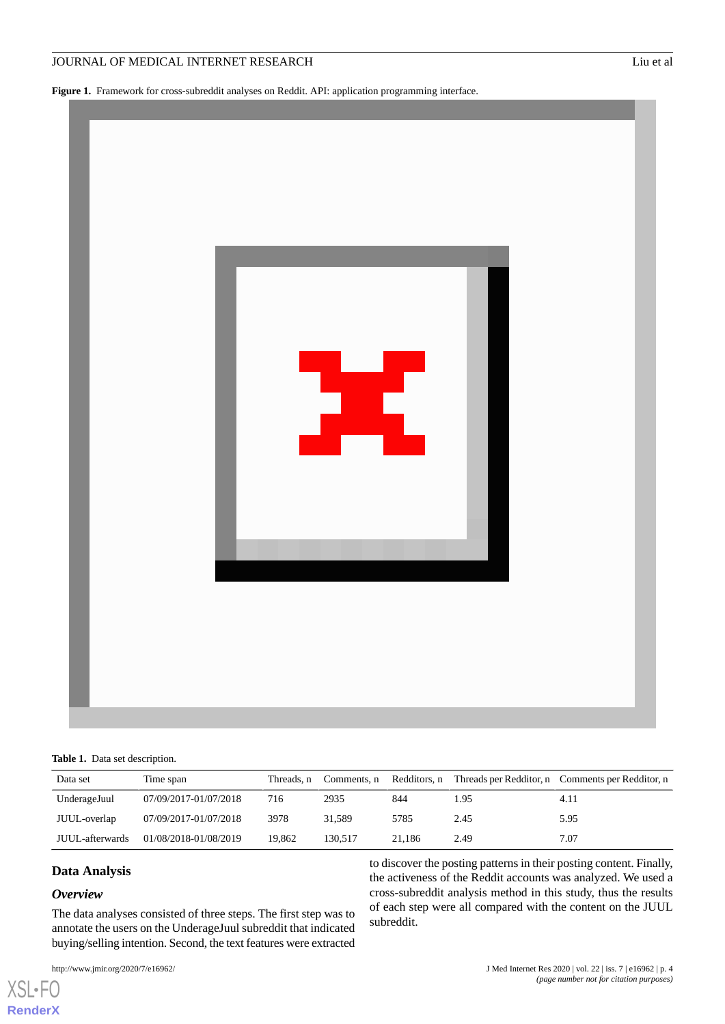<span id="page-3-0"></span>**Figure 1.** Framework for cross-subreddit analyses on Reddit. API: application programming interface.



<span id="page-3-1"></span>

| Data set        | Time span             | Threads, n | Comments, n |        |      | Redditors, n Threads per Redditor, n Comments per Redditor, n |
|-----------------|-----------------------|------------|-------------|--------|------|---------------------------------------------------------------|
| UnderageJuul    | 07/09/2017-01/07/2018 | 716        | 2935        | 844    | 1.95 | 4.11                                                          |
| JUUL-overlap    | 07/09/2017-01/07/2018 | 3978       | 31.589      | 5785   | 2.45 | 5.95                                                          |
| JUUL-afterwards | 01/08/2018-01/08/2019 | 19.862     | 130.517     | 21.186 | 2.49 | 7.07                                                          |

## **Data Analysis**

#### *Overview*

[XSL](http://www.w3.org/Style/XSL)•FO **[RenderX](http://www.renderx.com/)**

The data analyses consisted of three steps. The first step was to annotate the users on the UnderageJuul subreddit that indicated buying/selling intention. Second, the text features were extracted

to discover the posting patterns in their posting content. Finally, the activeness of the Reddit accounts was analyzed. We used a cross-subreddit analysis method in this study, thus the results of each step were all compared with the content on the JUUL subreddit.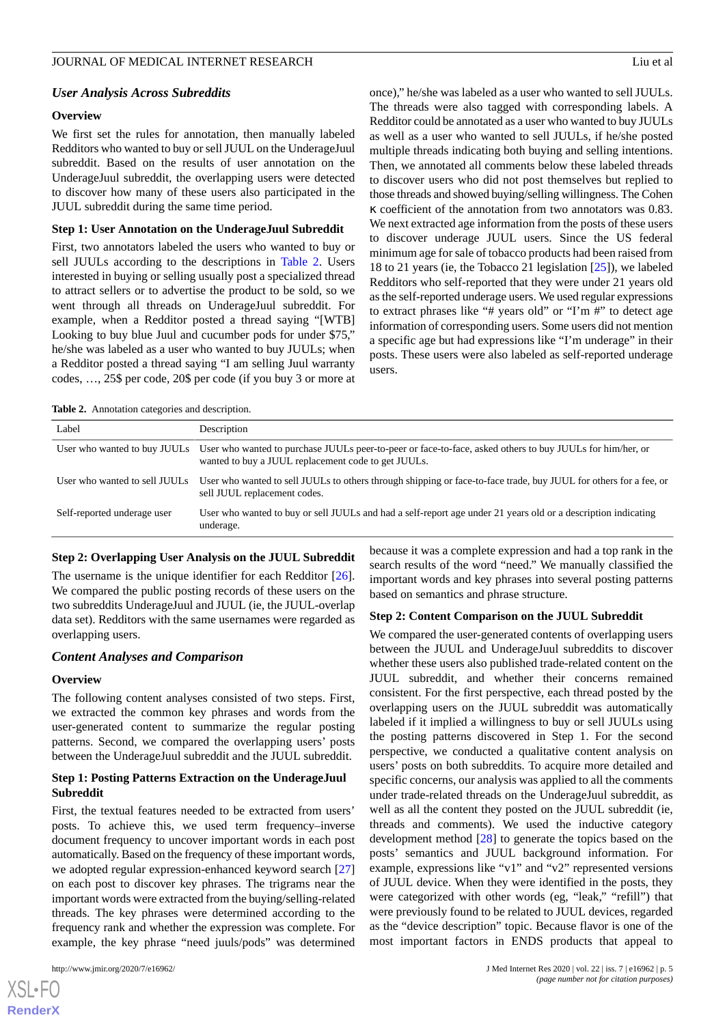#### *User Analysis Across Subreddits*

#### **Overview**

We first set the rules for annotation, then manually labeled Redditors who wanted to buy or sell JUUL on the UnderageJuul subreddit. Based on the results of user annotation on the UnderageJuul subreddit, the overlapping users were detected to discover how many of these users also participated in the JUUL subreddit during the same time period.

#### **Step 1: User Annotation on the UnderageJuul Subreddit**

First, two annotators labeled the users who wanted to buy or sell JUULs according to the descriptions in [Table 2](#page-4-0). Users interested in buying or selling usually post a specialized thread to attract sellers or to advertise the product to be sold, so we went through all threads on UnderageJuul subreddit. For example, when a Redditor posted a thread saying "[WTB] Looking to buy blue Juul and cucumber pods for under \$75," he/she was labeled as a user who wanted to buy JUULs; when a Redditor posted a thread saying "I am selling Juul warranty codes, …, 25\$ per code, 20\$ per code (if you buy 3 or more at

once)," he/she was labeled as a user who wanted to sell JUULs. The threads were also tagged with corresponding labels. A Redditor could be annotated as a user who wanted to buy JUULs as well as a user who wanted to sell JUULs, if he/she posted multiple threads indicating both buying and selling intentions. Then, we annotated all comments below these labeled threads to discover users who did not post themselves but replied to those threads and showed buying/selling willingness. The Cohen κ coefficient of the annotation from two annotators was 0.83. We next extracted age information from the posts of these users to discover underage JUUL users. Since the US federal minimum age for sale of tobacco products had been raised from 18 to 21 years (ie, the Tobacco 21 legislation [\[25](#page-11-11)]), we labeled Redditors who self-reported that they were under 21 years old as the self-reported underage users. We used regular expressions to extract phrases like "# years old" or "I'm #" to detect age information of corresponding users. Some users did not mention a specific age but had expressions like "I'm underage" in their posts. These users were also labeled as self-reported underage users.

<span id="page-4-0"></span>**Table 2.** Annotation categories and description.

| Label                       | Description                                                                                                                                                                                   |
|-----------------------------|-----------------------------------------------------------------------------------------------------------------------------------------------------------------------------------------------|
|                             | User who wanted to buy JUULs User who wanted to purchase JUULs peer-to-peer or face-to-face, asked others to buy JUULs for him/her, or<br>wanted to buy a JUUL replacement code to get JUULs. |
|                             | User who wanted to sell JUULs User who wanted to sell JUULs to others through shipping or face-to-face trade, buy JUUL for others for a fee, or<br>sell JUUL replacement codes.               |
| Self-reported underage user | User who wanted to buy or sell JUULs and had a self-report age under 21 years old or a description indicating<br>underage.                                                                    |

#### **Step 2: Overlapping User Analysis on the JUUL Subreddit**

The username is the unique identifier for each Redditor [[26\]](#page-11-12). We compared the public posting records of these users on the two subreddits UnderageJuul and JUUL (ie, the JUUL-overlap data set). Redditors with the same usernames were regarded as overlapping users.

#### *Content Analyses and Comparison*

#### **Overview**

The following content analyses consisted of two steps. First, we extracted the common key phrases and words from the user-generated content to summarize the regular posting patterns. Second, we compared the overlapping users' posts between the UnderageJuul subreddit and the JUUL subreddit.

## **Step 1: Posting Patterns Extraction on the UnderageJuul Subreddit**

First, the textual features needed to be extracted from users' posts. To achieve this, we used term frequency–inverse document frequency to uncover important words in each post automatically. Based on the frequency of these important words, we adopted regular expression-enhanced keyword search [\[27](#page-11-13)] on each post to discover key phrases. The trigrams near the important words were extracted from the buying/selling-related threads. The key phrases were determined according to the frequency rank and whether the expression was complete. For example, the key phrase "need juuls/pods" was determined

because it was a complete expression and had a top rank in the search results of the word "need." We manually classified the important words and key phrases into several posting patterns based on semantics and phrase structure.

#### **Step 2: Content Comparison on the JUUL Subreddit**

We compared the user-generated contents of overlapping users between the JUUL and UnderageJuul subreddits to discover whether these users also published trade-related content on the JUUL subreddit, and whether their concerns remained consistent. For the first perspective, each thread posted by the overlapping users on the JUUL subreddit was automatically labeled if it implied a willingness to buy or sell JUULs using the posting patterns discovered in Step 1. For the second perspective, we conducted a qualitative content analysis on users' posts on both subreddits. To acquire more detailed and specific concerns, our analysis was applied to all the comments under trade-related threads on the UnderageJuul subreddit, as well as all the content they posted on the JUUL subreddit (ie, threads and comments). We used the inductive category development method [\[28](#page-11-14)] to generate the topics based on the posts' semantics and JUUL background information. For example, expressions like "v1" and "v2" represented versions of JUUL device. When they were identified in the posts, they were categorized with other words (eg, "leak," "refill") that were previously found to be related to JUUL devices, regarded as the "device description" topic. Because flavor is one of the most important factors in ENDS products that appeal to

```
XS\cdotFC
RenderX
```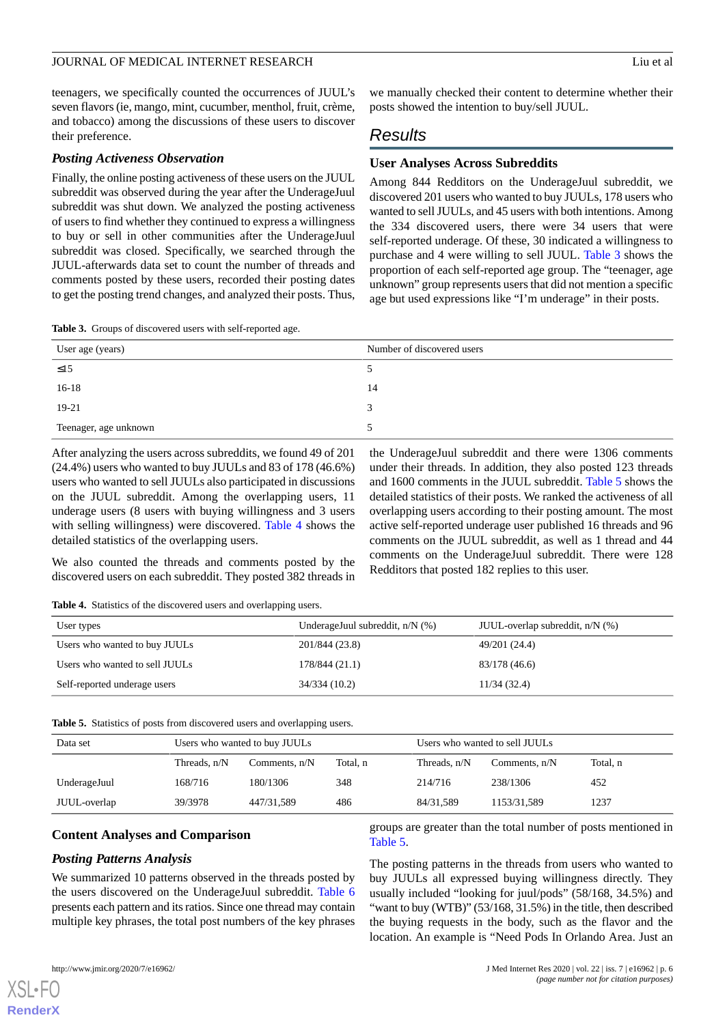teenagers, we specifically counted the occurrences of JUUL's seven flavors (ie, mango, mint, cucumber, menthol, fruit, crème, and tobacco) among the discussions of these users to discover their preference.

#### *Posting Activeness Observation*

Finally, the online posting activeness of these users on the JUUL subreddit was observed during the year after the UnderageJuul subreddit was shut down. We analyzed the posting activeness of users to find whether they continued to express a willingness to buy or sell in other communities after the UnderageJuul subreddit was closed. Specifically, we searched through the JUUL-afterwards data set to count the number of threads and comments posted by these users, recorded their posting dates to get the posting trend changes, and analyzed their posts. Thus,

<span id="page-5-0"></span>**Table 3.** Groups of discovered users with self-reported age.

we manually checked their content to determine whether their posts showed the intention to buy/sell JUUL.

## *Results*

#### **User Analyses Across Subreddits**

Among 844 Redditors on the UnderageJuul subreddit, we discovered 201 users who wanted to buy JUULs, 178 users who wanted to sell JUULs, and 45 users with both intentions. Among the 334 discovered users, there were 34 users that were self-reported underage. Of these, 30 indicated a willingness to purchase and 4 were willing to sell JUUL. [Table 3](#page-5-0) shows the proportion of each self-reported age group. The "teenager, age unknown" group represents users that did not mention a specific age but used expressions like "I'm underage" in their posts.

| User age (years)      | Number of discovered users |
|-----------------------|----------------------------|
| $\leq$ 15             |                            |
| $16-18$               | 14                         |
| 19-21                 |                            |
| Teenager, age unknown |                            |

After analyzing the users across subreddits, we found 49 of 201 (24.4%) users who wanted to buy JUULs and 83 of 178 (46.6%) users who wanted to sell JUULs also participated in discussions on the JUUL subreddit. Among the overlapping users, 11 underage users (8 users with buying willingness and 3 users with selling willingness) were discovered. [Table 4](#page-5-1) shows the detailed statistics of the overlapping users.

the UnderageJuul subreddit and there were 1306 comments under their threads. In addition, they also posted 123 threads and 1600 comments in the JUUL subreddit. [Table 5](#page-5-2) shows the detailed statistics of their posts. We ranked the activeness of all overlapping users according to their posting amount. The most active self-reported underage user published 16 threads and 96 comments on the JUUL subreddit, as well as 1 thread and 44 comments on the UnderageJuul subreddit. There were 128 Redditors that posted 182 replies to this user.

<span id="page-5-1"></span>We also counted the threads and comments posted by the discovered users on each subreddit. They posted 382 threads in

**Table 4.** Statistics of the discovered users and overlapping users.

<span id="page-5-2"></span>

| User types                     | UnderageJuul subreddit, $n/N$ (%) | JUUL-overlap subreddit, $n/N$ (%) |
|--------------------------------|-----------------------------------|-----------------------------------|
| Users who wanted to buy JUULs  | 201/844 (23.8)                    | 49/201 (24.4)                     |
| Users who wanted to sell JUULs | 178/844 (21.1)                    | 83/178 (46.6)                     |
| Self-reported underage users   | 34/334(10.2)                      | 11/34(32.4)                       |

| Table 5. Statistics of posts from discovered users and overlapping users. |  |
|---------------------------------------------------------------------------|--|
|---------------------------------------------------------------------------|--|

| Data set     |                | Users who wanted to buy JUULs |          | Users who wanted to sell JUULs |                 |          |
|--------------|----------------|-------------------------------|----------|--------------------------------|-----------------|----------|
|              | Threads, $n/N$ | Comments, $n/N$               | Total. n | Threads. n/N                   | Comments, $n/N$ | Total, n |
| UnderageJuul | 168/716        | 180/1306                      | 348      | 214/716                        | 238/1306        | 452      |
| JUUL-overlap | 39/3978        | 447/31,589                    | 486      | 84/31.589                      | 1153/31,589     | 1237     |

## **Content Analyses and Comparison**

## *Posting Patterns Analysis*

We summarized 10 patterns observed in the threads posted by the users discovered on the UnderageJuul subreddit. [Table 6](#page-6-0) presents each pattern and its ratios. Since one thread may contain multiple key phrases, the total post numbers of the key phrases

groups are greater than the total number of posts mentioned in [Table 5](#page-5-2).

The posting patterns in the threads from users who wanted to buy JUULs all expressed buying willingness directly. They usually included "looking for juul/pods" (58/168, 34.5%) and "want to buy (WTB)" (53/168, 31.5%) in the title, then described the buying requests in the body, such as the flavor and the location. An example is "Need Pods In Orlando Area. Just an



[XSL](http://www.w3.org/Style/XSL)•FO **[RenderX](http://www.renderx.com/)**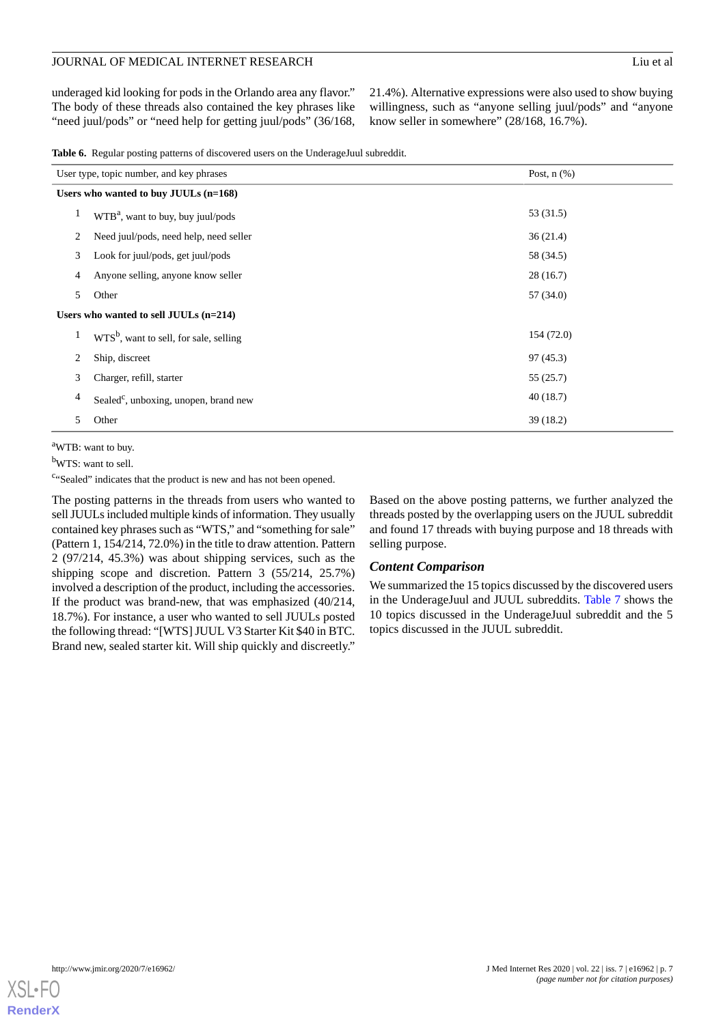underaged kid looking for pods in the Orlando area any flavor." The body of these threads also contained the key phrases like "need juul/pods" or "need help for getting juul/pods" (36/168,

21.4%). Alternative expressions were also used to show buying willingness, such as "anyone selling juul/pods" and "anyone know seller in somewhere" (28/168, 16.7%).

<span id="page-6-0"></span>

|  |  |  |  |  |  |  | Table 6. Regular posting patterns of discovered users on the UnderageJuul subreddit. |  |
|--|--|--|--|--|--|--|--------------------------------------------------------------------------------------|--|
|--|--|--|--|--|--|--|--------------------------------------------------------------------------------------|--|

|                | User type, topic number, and key phrases<br>Post, $n$ $(\%)$ |            |  |
|----------------|--------------------------------------------------------------|------------|--|
|                | Users who wanted to buy JUULs $(n=168)$                      |            |  |
| 1              | WTB <sup>a</sup> , want to buy, buy juul/pods                | 53 (31.5)  |  |
| 2              | Need juul/pods, need help, need seller                       | 36(21.4)   |  |
| 3              | Look for juul/pods, get juul/pods                            | 58 (34.5)  |  |
| $\overline{4}$ | Anyone selling, anyone know seller                           | 28(16.7)   |  |
| 5              | Other                                                        | 57 (34.0)  |  |
|                | Users who wanted to sell JUULs $(n=214)$                     |            |  |
| 1              | $WTS^b$ , want to sell, for sale, selling                    | 154 (72.0) |  |
| 2              | Ship, discreet                                               | 97(45.3)   |  |
| 3              | Charger, refill, starter                                     | 55(25.7)   |  |
| 4              | Sealed <sup>c</sup> , unboxing, unopen, brand new            | 40(18.7)   |  |
| 5              | Other                                                        | 39(18.2)   |  |

<sup>a</sup>WTB: want to buy.

<sup>b</sup>WTS: want to sell.

<sup>c</sup>"Sealed" indicates that the product is new and has not been opened.

The posting patterns in the threads from users who wanted to sell JUULs included multiple kinds of information. They usually contained key phrases such as "WTS," and "something for sale" (Pattern 1, 154/214, 72.0%) in the title to draw attention. Pattern 2 (97/214, 45.3%) was about shipping services, such as the shipping scope and discretion. Pattern 3 (55/214, 25.7%) involved a description of the product, including the accessories. If the product was brand-new, that was emphasized (40/214, 18.7%). For instance, a user who wanted to sell JUULs posted the following thread: "[WTS] JUUL V3 Starter Kit \$40 in BTC. Brand new, sealed starter kit. Will ship quickly and discreetly."

Based on the above posting patterns, we further analyzed the threads posted by the overlapping users on the JUUL subreddit and found 17 threads with buying purpose and 18 threads with selling purpose.

## *Content Comparison*

We summarized the 15 topics discussed by the discovered users in the UnderageJuul and JUUL subreddits. [Table 7](#page-7-0) shows the 10 topics discussed in the UnderageJuul subreddit and the 5 topics discussed in the JUUL subreddit.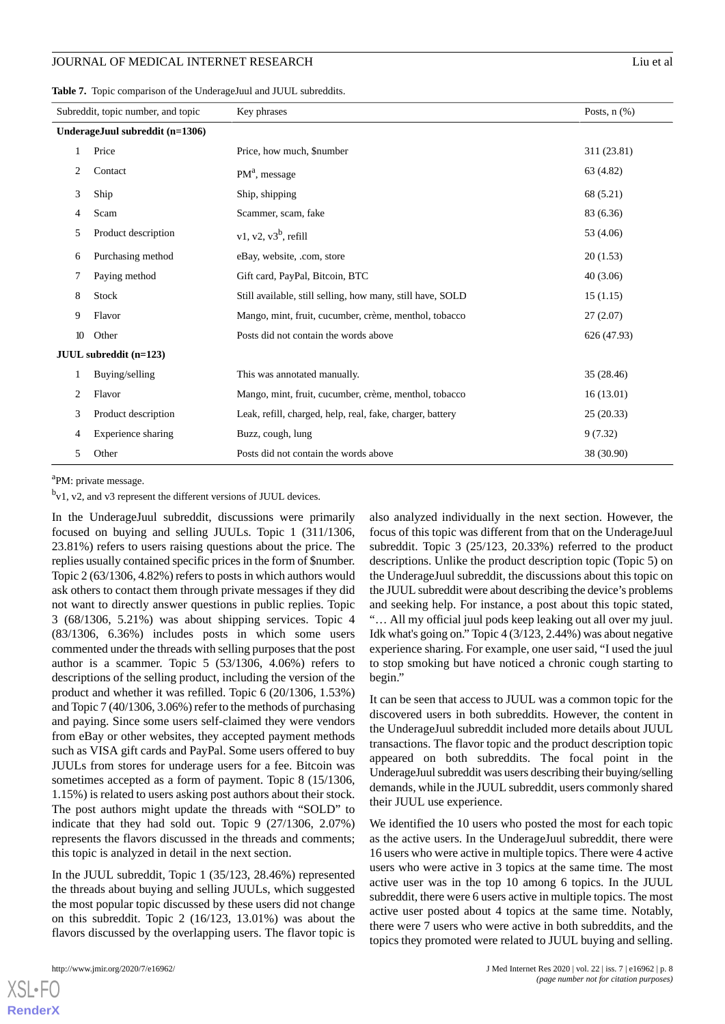<span id="page-7-0"></span>

|  |  |  | Table 7. Topic comparison of the UnderageJuul and JUUL subreddits. |
|--|--|--|--------------------------------------------------------------------|
|--|--|--|--------------------------------------------------------------------|

| Subreddit, topic number, and topic |                                 | Key phrases                                                | Posts, $n$ $(\%)$ |
|------------------------------------|---------------------------------|------------------------------------------------------------|-------------------|
|                                    | UnderageJuul subreddit (n=1306) |                                                            |                   |
|                                    | Price                           | Price, how much, \$number                                  | 311 (23.81)       |
| 2                                  | Contact                         | $PMa$ , message                                            | 63 (4.82)         |
| 3                                  | Ship                            | Ship, shipping                                             | 68 (5.21)         |
| 4                                  | Scam                            | Scammer, scam, fake                                        | 83 (6.36)         |
| 5                                  | Product description             | v1, v2, v $3^b$ , refill                                   | 53 (4.06)         |
| 6                                  | Purchasing method               | eBay, website, .com, store                                 | 20(1.53)          |
| 7                                  | Paying method                   | Gift card, PayPal, Bitcoin, BTC                            | 40(3.06)          |
| 8                                  | Stock                           | Still available, still selling, how many, still have, SOLD | 15(1.15)          |
| 9                                  | Flavor                          | Mango, mint, fruit, cucumber, crème, menthol, tobacco      | 27(2.07)          |
| 10                                 | Other                           | Posts did not contain the words above                      | 626 (47.93)       |
|                                    | JUUL subreddit (n=123)          |                                                            |                   |
| 1                                  | Buying/selling                  | This was annotated manually.                               | 35 (28.46)        |
| 2                                  | Flavor                          | Mango, mint, fruit, cucumber, crème, menthol, tobacco      | 16(13.01)         |
| 3                                  | Product description             | Leak, refill, charged, help, real, fake, charger, battery  | 25(20.33)         |
| 4                                  | Experience sharing              | Buzz, cough, lung                                          | 9(7.32)           |
| 5                                  | Other                           | Posts did not contain the words above                      | 38 (30.90)        |

<sup>a</sup>PM: private message.

<sup>b</sup>v1, v2, and v3 represent the different versions of JUUL devices.

In the UnderageJuul subreddit, discussions were primarily focused on buying and selling JUULs. Topic 1 (311/1306, 23.81%) refers to users raising questions about the price. The replies usually contained specific prices in the form of \$number. Topic 2 (63/1306, 4.82%) refers to posts in which authors would ask others to contact them through private messages if they did not want to directly answer questions in public replies. Topic 3 (68/1306, 5.21%) was about shipping services. Topic 4 (83/1306, 6.36%) includes posts in which some users commented under the threads with selling purposes that the post author is a scammer. Topic 5 (53/1306, 4.06%) refers to descriptions of the selling product, including the version of the product and whether it was refilled. Topic 6 (20/1306, 1.53%) and Topic 7 (40/1306, 3.06%) refer to the methods of purchasing and paying. Since some users self-claimed they were vendors from eBay or other websites, they accepted payment methods such as VISA gift cards and PayPal. Some users offered to buy JUULs from stores for underage users for a fee. Bitcoin was sometimes accepted as a form of payment. Topic 8 (15/1306, 1.15%) is related to users asking post authors about their stock. The post authors might update the threads with "SOLD" to indicate that they had sold out. Topic 9 (27/1306, 2.07%) represents the flavors discussed in the threads and comments; this topic is analyzed in detail in the next section.

In the JUUL subreddit, Topic 1 (35/123, 28.46%) represented the threads about buying and selling JUULs, which suggested the most popular topic discussed by these users did not change on this subreddit. Topic 2 (16/123, 13.01%) was about the flavors discussed by the overlapping users. The flavor topic is

[XSL](http://www.w3.org/Style/XSL)•FO **[RenderX](http://www.renderx.com/)**

also analyzed individually in the next section. However, the focus of this topic was different from that on the UnderageJuul subreddit. Topic 3 (25/123, 20.33%) referred to the product descriptions. Unlike the product description topic (Topic 5) on the UnderageJuul subreddit, the discussions about this topic on the JUUL subreddit were about describing the device's problems and seeking help. For instance, a post about this topic stated, "… All my official juul pods keep leaking out all over my juul. Idk what's going on." Topic 4 (3/123, 2.44%) was about negative experience sharing. For example, one user said, "I used the juul to stop smoking but have noticed a chronic cough starting to begin."

It can be seen that access to JUUL was a common topic for the discovered users in both subreddits. However, the content in the UnderageJuul subreddit included more details about JUUL transactions. The flavor topic and the product description topic appeared on both subreddits. The focal point in the UnderageJuul subreddit was users describing their buying/selling demands, while in the JUUL subreddit, users commonly shared their JUUL use experience.

We identified the 10 users who posted the most for each topic as the active users. In the UnderageJuul subreddit, there were 16 users who were active in multiple topics. There were 4 active users who were active in 3 topics at the same time. The most active user was in the top 10 among 6 topics. In the JUUL subreddit, there were 6 users active in multiple topics. The most active user posted about 4 topics at the same time. Notably, there were 7 users who were active in both subreddits, and the topics they promoted were related to JUUL buying and selling.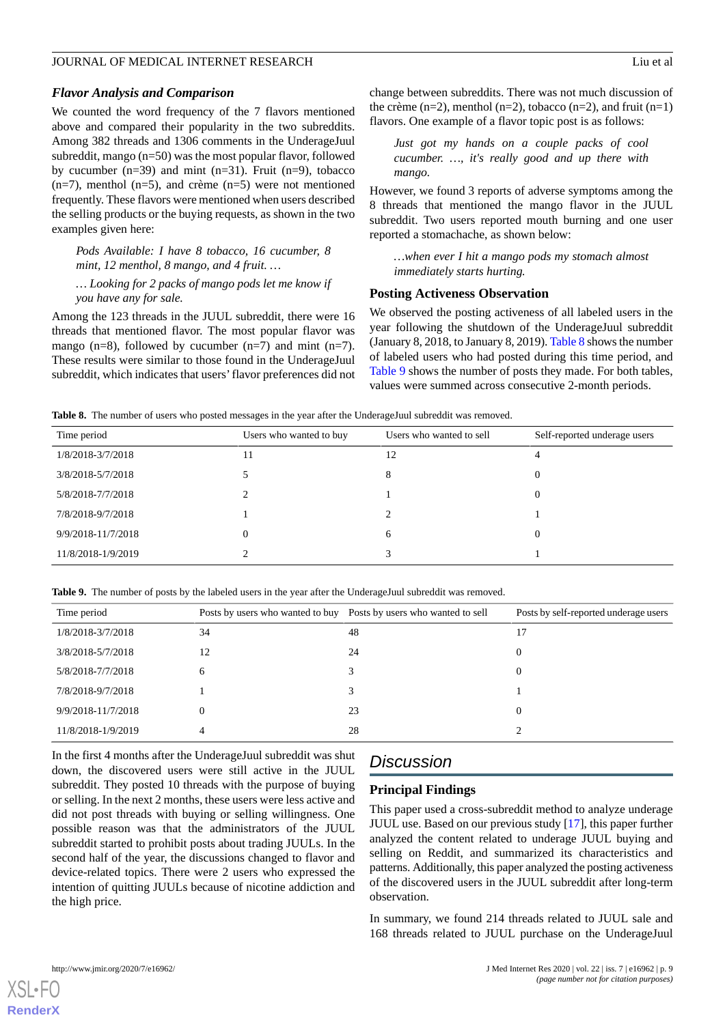#### *Flavor Analysis and Comparison*

We counted the word frequency of the 7 flavors mentioned above and compared their popularity in the two subreddits. Among 382 threads and 1306 comments in the UnderageJuul subreddit, mango (n=50) was the most popular flavor, followed by cucumber  $(n=39)$  and mint  $(n=31)$ . Fruit  $(n=9)$ , tobacco  $(n=7)$ , menthol  $(n=5)$ , and crème  $(n=5)$  were not mentioned frequently. These flavors were mentioned when users described the selling products or the buying requests, as shown in the two examples given here:

*Pods Available: I have 8 tobacco, 16 cucumber, 8 mint, 12 menthol, 8 mango, and 4 fruit. …*

*… Looking for 2 packs of mango pods let me know if you have any for sale.*

Among the 123 threads in the JUUL subreddit, there were 16 threads that mentioned flavor. The most popular flavor was mango (n=8), followed by cucumber (n=7) and mint (n=7). These results were similar to those found in the UnderageJuul subreddit, which indicates that users'flavor preferences did not *Just got my hands on a couple packs of cool cucumber. …, it's really good and up there with mango.*

However, we found 3 reports of adverse symptoms among the 8 threads that mentioned the mango flavor in the JUUL subreddit. Two users reported mouth burning and one user reported a stomachache, as shown below:

*…when ever I hit a mango pods my stomach almost immediately starts hurting.*

#### **Posting Activeness Observation**

We observed the posting activeness of all labeled users in the year following the shutdown of the UnderageJuul subreddit (January 8, 2018, to January 8, 2019). [Table 8](#page-8-0) shows the number of labeled users who had posted during this time period, and [Table 9](#page-8-1) shows the number of posts they made. For both tables, values were summed across consecutive 2-month periods.

<span id="page-8-0"></span>**Table 8.** The number of users who posted messages in the year after the UnderageJuul subreddit was removed.

| Time period        | Users who wanted to buy | Users who wanted to sell | Self-reported underage users |
|--------------------|-------------------------|--------------------------|------------------------------|
| 1/8/2018-3/7/2018  |                         | 12                       | 4                            |
| 3/8/2018-5/7/2018  |                         | 8                        | 0                            |
| 5/8/2018-7/7/2018  |                         |                          | 0                            |
| 7/8/2018-9/7/2018  |                         | ∠                        |                              |
| 9/9/2018-11/7/2018 |                         | 6                        | $\theta$                     |
| 11/8/2018-1/9/2019 |                         |                          |                              |

<span id="page-8-1"></span>**Table 9.** The number of posts by the labeled users in the year after the UnderageJuul subreddit was removed.

| Time period        | Posts by users who wanted to buy | Posts by users who wanted to sell | Posts by self-reported underage users |
|--------------------|----------------------------------|-----------------------------------|---------------------------------------|
| 1/8/2018-3/7/2018  | 34                               | 48                                | 17                                    |
| 3/8/2018-5/7/2018  | 12                               | 24                                | $\theta$                              |
| 5/8/2018-7/7/2018  | 6                                |                                   | $\theta$                              |
| 7/8/2018-9/7/2018  |                                  |                                   |                                       |
| 9/9/2018-11/7/2018 | $\Omega$                         | 23                                | $\Omega$                              |
| 11/8/2018-1/9/2019 | 4                                | 28                                |                                       |
|                    |                                  |                                   |                                       |

In the first 4 months after the UnderageJuul subreddit was shut down, the discovered users were still active in the JUUL subreddit. They posted 10 threads with the purpose of buying or selling. In the next 2 months, these users were less active and did not post threads with buying or selling willingness. One possible reason was that the administrators of the JUUL subreddit started to prohibit posts about trading JUULs. In the second half of the year, the discussions changed to flavor and device-related topics. There were 2 users who expressed the intention of quitting JUULs because of nicotine addiction and the high price.

## *Discussion*

## **Principal Findings**

This paper used a cross-subreddit method to analyze underage JUUL use. Based on our previous study [\[17](#page-11-2)], this paper further analyzed the content related to underage JUUL buying and selling on Reddit, and summarized its characteristics and patterns. Additionally, this paper analyzed the posting activeness of the discovered users in the JUUL subreddit after long-term observation.

In summary, we found 214 threads related to JUUL sale and 168 threads related to JUUL purchase on the UnderageJuul

```
XSL•FO
RenderX
```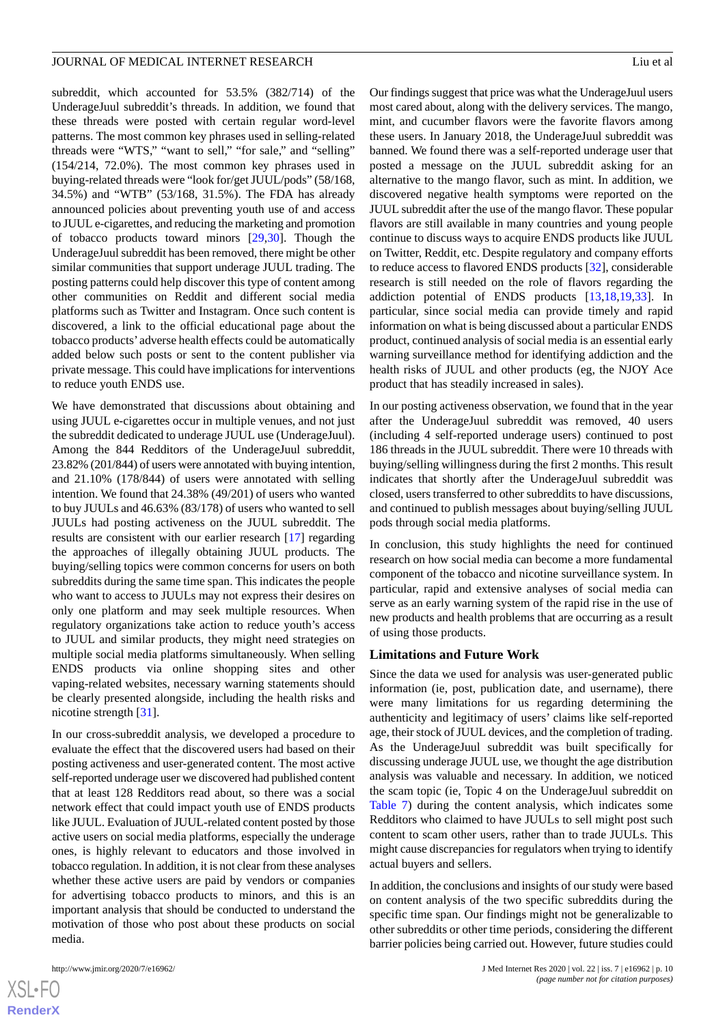subreddit, which accounted for 53.5% (382/714) of the UnderageJuul subreddit's threads. In addition, we found that these threads were posted with certain regular word-level patterns. The most common key phrases used in selling-related threads were "WTS," "want to sell," "for sale," and "selling" (154/214, 72.0%). The most common key phrases used in buying-related threads were "look for/get JUUL/pods" (58/168, 34.5%) and "WTB" (53/168, 31.5%). The FDA has already announced policies about preventing youth use of and access to JUUL e-cigarettes, and reducing the marketing and promotion of tobacco products toward minors [\[29](#page-11-15),[30\]](#page-11-16). Though the UnderageJuul subreddit has been removed, there might be other similar communities that support underage JUUL trading. The posting patterns could help discover this type of content among other communities on Reddit and different social media platforms such as Twitter and Instagram. Once such content is discovered, a link to the official educational page about the tobacco products' adverse health effects could be automatically added below such posts or sent to the content publisher via private message. This could have implications for interventions to reduce youth ENDS use.

We have demonstrated that discussions about obtaining and using JUUL e-cigarettes occur in multiple venues, and not just the subreddit dedicated to underage JUUL use (UnderageJuul). Among the 844 Redditors of the UnderageJuul subreddit, 23.82% (201/844) of users were annotated with buying intention, and 21.10% (178/844) of users were annotated with selling intention. We found that 24.38% (49/201) of users who wanted to buy JUULs and 46.63% (83/178) of users who wanted to sell JUULs had posting activeness on the JUUL subreddit. The results are consistent with our earlier research [[17\]](#page-11-2) regarding the approaches of illegally obtaining JUUL products. The buying/selling topics were common concerns for users on both subreddits during the same time span. This indicates the people who want to access to JUULs may not express their desires on only one platform and may seek multiple resources. When regulatory organizations take action to reduce youth's access to JUUL and similar products, they might need strategies on multiple social media platforms simultaneously. When selling ENDS products via online shopping sites and other vaping-related websites, necessary warning statements should be clearly presented alongside, including the health risks and nicotine strength [\[31](#page-11-17)].

In our cross-subreddit analysis, we developed a procedure to evaluate the effect that the discovered users had based on their posting activeness and user-generated content. The most active self-reported underage user we discovered had published content that at least 128 Redditors read about, so there was a social network effect that could impact youth use of ENDS products like JUUL. Evaluation of JUUL-related content posted by those active users on social media platforms, especially the underage ones, is highly relevant to educators and those involved in tobacco regulation. In addition, it is not clear from these analyses whether these active users are paid by vendors or companies for advertising tobacco products to minors, and this is an important analysis that should be conducted to understand the motivation of those who post about these products on social media.

 $XS$  $\cdot$ FC **[RenderX](http://www.renderx.com/)**

Our findings suggest that price was what the UnderageJuul users most cared about, along with the delivery services. The mango, mint, and cucumber flavors were the favorite flavors among these users. In January 2018, the UnderageJuul subreddit was banned. We found there was a self-reported underage user that posted a message on the JUUL subreddit asking for an alternative to the mango flavor, such as mint. In addition, we discovered negative health symptoms were reported on the JUUL subreddit after the use of the mango flavor. These popular flavors are still available in many countries and young people continue to discuss ways to acquire ENDS products like JUUL on Twitter, Reddit, etc. Despite regulatory and company efforts to reduce access to flavored ENDS products [\[32](#page-11-18)], considerable research is still needed on the role of flavors regarding the addiction potential of ENDS products [[13](#page-10-10)[,18](#page-11-3),[19](#page-11-4)[,33](#page-11-19)]. In particular, since social media can provide timely and rapid information on what is being discussed about a particular ENDS product, continued analysis of social media is an essential early warning surveillance method for identifying addiction and the health risks of JUUL and other products (eg, the NJOY Ace product that has steadily increased in sales).

In our posting activeness observation, we found that in the year after the UnderageJuul subreddit was removed, 40 users (including 4 self-reported underage users) continued to post 186 threads in the JUUL subreddit. There were 10 threads with buying/selling willingness during the first 2 months. This result indicates that shortly after the UnderageJuul subreddit was closed, users transferred to other subreddits to have discussions, and continued to publish messages about buying/selling JUUL pods through social media platforms.

In conclusion, this study highlights the need for continued research on how social media can become a more fundamental component of the tobacco and nicotine surveillance system. In particular, rapid and extensive analyses of social media can serve as an early warning system of the rapid rise in the use of new products and health problems that are occurring as a result of using those products.

#### **Limitations and Future Work**

Since the data we used for analysis was user-generated public information (ie, post, publication date, and username), there were many limitations for us regarding determining the authenticity and legitimacy of users' claims like self-reported age, their stock of JUUL devices, and the completion of trading. As the UnderageJuul subreddit was built specifically for discussing underage JUUL use, we thought the age distribution analysis was valuable and necessary. In addition, we noticed the scam topic (ie, Topic 4 on the UnderageJuul subreddit on [Table 7](#page-7-0)) during the content analysis, which indicates some Redditors who claimed to have JUULs to sell might post such content to scam other users, rather than to trade JUULs. This might cause discrepancies for regulators when trying to identify actual buyers and sellers.

In addition, the conclusions and insights of our study were based on content analysis of the two specific subreddits during the specific time span. Our findings might not be generalizable to other subreddits or other time periods, considering the different barrier policies being carried out. However, future studies could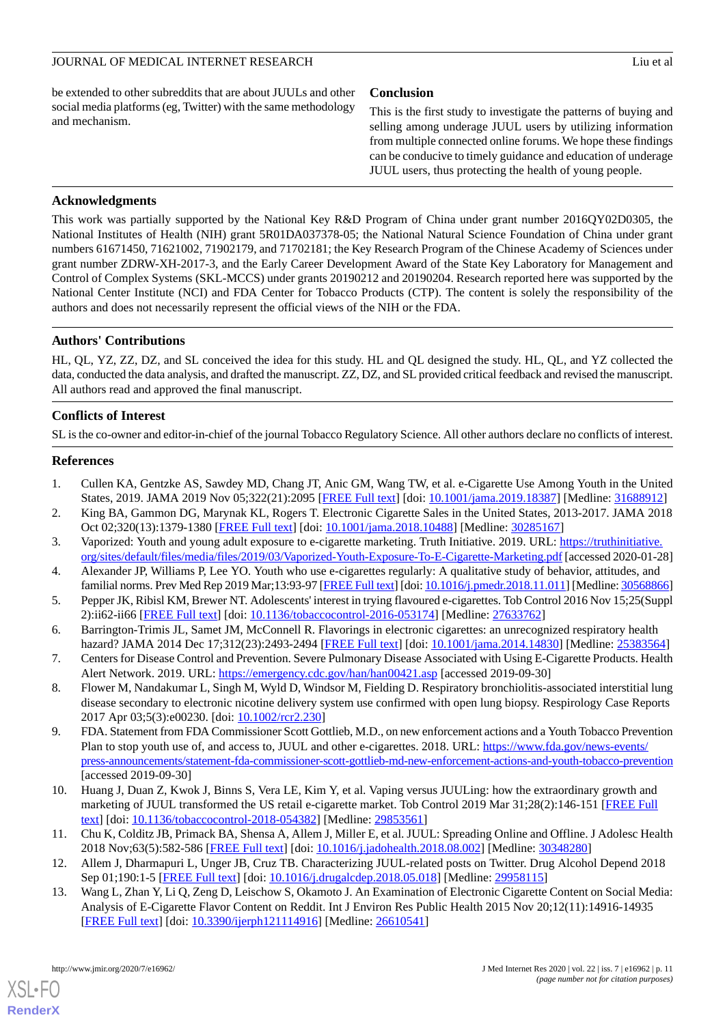be extended to other subreddits that are about JUULs and other social media platforms (eg, Twitter) with the same methodology and mechanism.

## **Conclusion**

This is the first study to investigate the patterns of buying and selling among underage JUUL users by utilizing information from multiple connected online forums. We hope these findings can be conducive to timely guidance and education of underage JUUL users, thus protecting the health of young people.

## **Acknowledgments**

This work was partially supported by the National Key R&D Program of China under grant number 2016QY02D0305, the National Institutes of Health (NIH) grant 5R01DA037378-05; the National Natural Science Foundation of China under grant numbers 61671450, 71621002, 71902179, and 71702181; the Key Research Program of the Chinese Academy of Sciences under grant number ZDRW-XH-2017-3, and the Early Career Development Award of the State Key Laboratory for Management and Control of Complex Systems (SKL-MCCS) under grants 20190212 and 20190204. Research reported here was supported by the National Center Institute (NCI) and FDA Center for Tobacco Products (CTP). The content is solely the responsibility of the authors and does not necessarily represent the official views of the NIH or the FDA.

## **Authors' Contributions**

HL, QL, YZ, ZZ, DZ, and SL conceived the idea for this study. HL and QL designed the study. HL, QL, and YZ collected the data, conducted the data analysis, and drafted the manuscript. ZZ, DZ, and SL provided critical feedback and revised the manuscript. All authors read and approved the final manuscript.

## **Conflicts of Interest**

<span id="page-10-0"></span>SL is the co-owner and editor-in-chief of the journal Tobacco Regulatory Science. All other authors declare no conflicts of interest.

## <span id="page-10-1"></span>**References**

- <span id="page-10-2"></span>1. Cullen KA, Gentzke AS, Sawdey MD, Chang JT, Anic GM, Wang TW, et al. e-Cigarette Use Among Youth in the United States, 2019. JAMA 2019 Nov 05;322(21):2095 [[FREE Full text](http://europepmc.org/abstract/MED/31688912)] [doi: [10.1001/jama.2019.18387](http://dx.doi.org/10.1001/jama.2019.18387)] [Medline: [31688912\]](http://www.ncbi.nlm.nih.gov/entrez/query.fcgi?cmd=Retrieve&db=PubMed&list_uids=31688912&dopt=Abstract)
- 2. King BA, Gammon DG, Marynak KL, Rogers T. Electronic Cigarette Sales in the United States, 2013-2017. JAMA 2018 Oct 02;320(13):1379-1380 [[FREE Full text](http://europepmc.org/abstract/MED/30285167)] [doi: [10.1001/jama.2018.10488](http://dx.doi.org/10.1001/jama.2018.10488)] [Medline: [30285167\]](http://www.ncbi.nlm.nih.gov/entrez/query.fcgi?cmd=Retrieve&db=PubMed&list_uids=30285167&dopt=Abstract)
- <span id="page-10-3"></span>3. Vaporized: Youth and young adult exposure to e-cigarette marketing. Truth Initiative. 2019. URL: [https://truthinitiative.](https://truthinitiative.org/sites/default/files/media/files/2019/03/Vaporized-Youth-Exposure-To-E-Cigarette-Marketing.pdf) [org/sites/default/files/media/files/2019/03/Vaporized-Youth-Exposure-To-E-Cigarette-Marketing.pdf](https://truthinitiative.org/sites/default/files/media/files/2019/03/Vaporized-Youth-Exposure-To-E-Cigarette-Marketing.pdf) [accessed 2020-01-28]
- <span id="page-10-4"></span>4. Alexander JP, Williams P, Lee YO. Youth who use e-cigarettes regularly: A qualitative study of behavior, attitudes, and familial norms. Prev Med Rep 2019 Mar;13:93-97 [[FREE Full text\]](https://linkinghub.elsevier.com/retrieve/pii/S2211-3355(18)30269-9) [doi: [10.1016/j.pmedr.2018.11.011\]](http://dx.doi.org/10.1016/j.pmedr.2018.11.011) [Medline: [30568866\]](http://www.ncbi.nlm.nih.gov/entrez/query.fcgi?cmd=Retrieve&db=PubMed&list_uids=30568866&dopt=Abstract)
- 5. Pepper JK, Ribisl KM, Brewer NT. Adolescents' interest in trying flavoured e-cigarettes. Tob Control 2016 Nov 15;25(Suppl 2):ii62-ii66 [[FREE Full text](http://europepmc.org/abstract/MED/27633762)] [doi: [10.1136/tobaccocontrol-2016-053174\]](http://dx.doi.org/10.1136/tobaccocontrol-2016-053174) [Medline: [27633762\]](http://www.ncbi.nlm.nih.gov/entrez/query.fcgi?cmd=Retrieve&db=PubMed&list_uids=27633762&dopt=Abstract)
- <span id="page-10-5"></span>6. Barrington-Trimis JL, Samet JM, McConnell R. Flavorings in electronic cigarettes: an unrecognized respiratory health hazard? JAMA 2014 Dec 17;312(23):2493-2494 [[FREE Full text](http://europepmc.org/abstract/MED/25383564)] [doi: [10.1001/jama.2014.14830](http://dx.doi.org/10.1001/jama.2014.14830)] [Medline: [25383564\]](http://www.ncbi.nlm.nih.gov/entrez/query.fcgi?cmd=Retrieve&db=PubMed&list_uids=25383564&dopt=Abstract)
- <span id="page-10-6"></span>7. Centers for Disease Control and Prevention. Severe Pulmonary Disease Associated with Using E-Cigarette Products. Health Alert Network. 2019. URL: <https://emergency.cdc.gov/han/han00421.asp> [accessed 2019-09-30]
- 8. Flower M, Nandakumar L, Singh M, Wyld D, Windsor M, Fielding D. Respiratory bronchiolitis-associated interstitial lung disease secondary to electronic nicotine delivery system use confirmed with open lung biopsy. Respirology Case Reports 2017 Apr 03;5(3):e00230. [doi: [10.1002/rcr2.230](http://dx.doi.org/10.1002/rcr2.230)]
- <span id="page-10-8"></span><span id="page-10-7"></span>9. FDA. Statement from FDA Commissioner Scott Gottlieb, M.D., on new enforcement actions and a Youth Tobacco Prevention Plan to stop youth use of, and access to, JUUL and other e-cigarettes. 2018. URL: [https://www.fda.gov/news-events/](https://www.fda.gov/news-events/press-announcements/statement-fda-commissioner-scott-gottlieb-md-new-enforcement-actions-and-youth-tobacco-prevention) [press-announcements/statement-fda-commissioner-scott-gottlieb-md-new-enforcement-actions-and-youth-tobacco-prevention](https://www.fda.gov/news-events/press-announcements/statement-fda-commissioner-scott-gottlieb-md-new-enforcement-actions-and-youth-tobacco-prevention) [accessed 2019-09-30]
- <span id="page-10-10"></span><span id="page-10-9"></span>10. Huang J, Duan Z, Kwok J, Binns S, Vera LE, Kim Y, et al. Vaping versus JUULing: how the extraordinary growth and marketing of JUUL transformed the US retail e-cigarette market. Tob Control 2019 Mar 31;28(2):146-151 [\[FREE Full](http://tobaccocontrol.bmj.com/cgi/pmidlookup?view=long&pmid=29853561) [text](http://tobaccocontrol.bmj.com/cgi/pmidlookup?view=long&pmid=29853561)] [doi: [10.1136/tobaccocontrol-2018-054382\]](http://dx.doi.org/10.1136/tobaccocontrol-2018-054382) [Medline: [29853561\]](http://www.ncbi.nlm.nih.gov/entrez/query.fcgi?cmd=Retrieve&db=PubMed&list_uids=29853561&dopt=Abstract)
- 11. Chu K, Colditz JB, Primack BA, Shensa A, Allem J, Miller E, et al. JUUL: Spreading Online and Offline. J Adolesc Health 2018 Nov;63(5):582-586 [\[FREE Full text\]](http://europepmc.org/abstract/MED/30348280) [doi: [10.1016/j.jadohealth.2018.08.002\]](http://dx.doi.org/10.1016/j.jadohealth.2018.08.002) [Medline: [30348280\]](http://www.ncbi.nlm.nih.gov/entrez/query.fcgi?cmd=Retrieve&db=PubMed&list_uids=30348280&dopt=Abstract)
- 12. Allem J, Dharmapuri L, Unger JB, Cruz TB. Characterizing JUUL-related posts on Twitter. Drug Alcohol Depend 2018 Sep 01;190:1-5 [[FREE Full text](http://europepmc.org/abstract/MED/29958115)] [doi: [10.1016/j.drugalcdep.2018.05.018\]](http://dx.doi.org/10.1016/j.drugalcdep.2018.05.018) [Medline: [29958115\]](http://www.ncbi.nlm.nih.gov/entrez/query.fcgi?cmd=Retrieve&db=PubMed&list_uids=29958115&dopt=Abstract)
- 13. Wang L, Zhan Y, Li Q, Zeng D, Leischow S, Okamoto J. An Examination of Electronic Cigarette Content on Social Media: Analysis of E-Cigarette Flavor Content on Reddit. Int J Environ Res Public Health 2015 Nov 20;12(11):14916-14935 [[FREE Full text](https://www.mdpi.com/resolver?pii=ijerph121114916)] [doi: [10.3390/ijerph121114916](http://dx.doi.org/10.3390/ijerph121114916)] [Medline: [26610541\]](http://www.ncbi.nlm.nih.gov/entrez/query.fcgi?cmd=Retrieve&db=PubMed&list_uids=26610541&dopt=Abstract)

[XSL](http://www.w3.org/Style/XSL)•FO **[RenderX](http://www.renderx.com/)**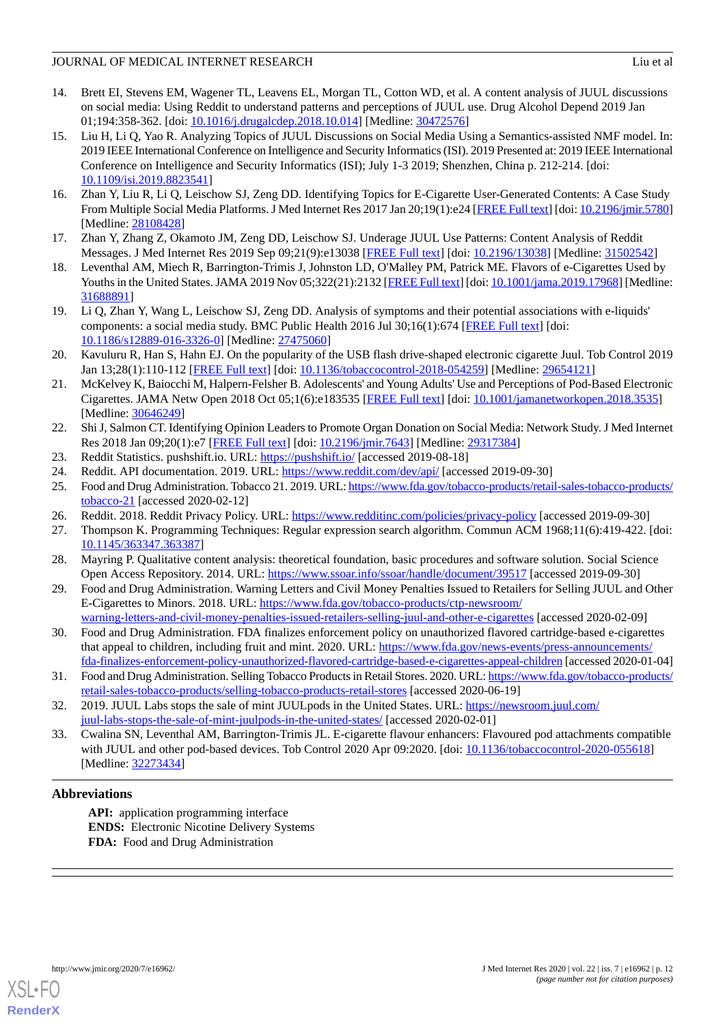- <span id="page-11-0"></span>14. Brett EI, Stevens EM, Wagener TL, Leavens EL, Morgan TL, Cotton WD, et al. A content analysis of JUUL discussions on social media: Using Reddit to understand patterns and perceptions of JUUL use. Drug Alcohol Depend 2019 Jan 01;194:358-362. [doi: [10.1016/j.drugalcdep.2018.10.014](http://dx.doi.org/10.1016/j.drugalcdep.2018.10.014)] [Medline: [30472576](http://www.ncbi.nlm.nih.gov/entrez/query.fcgi?cmd=Retrieve&db=PubMed&list_uids=30472576&dopt=Abstract)]
- <span id="page-11-6"></span>15. Liu H, Li Q, Yao R. Analyzing Topics of JUUL Discussions on Social Media Using a Semantics-assisted NMF model. In: 2019 IEEE International Conference on Intelligence and Security Informatics (ISI). 2019 Presented at: 2019 IEEE International Conference on Intelligence and Security Informatics (ISI); July 1-3 2019; Shenzhen, China p. 212-214. [doi: [10.1109/isi.2019.8823541](http://dx.doi.org/10.1109/isi.2019.8823541)]
- <span id="page-11-2"></span><span id="page-11-1"></span>16. Zhan Y, Liu R, Li Q, Leischow SJ, Zeng DD. Identifying Topics for E-Cigarette User-Generated Contents: A Case Study From Multiple Social Media Platforms. J Med Internet Res 2017 Jan 20;19(1):e24 [[FREE Full text](https://www.jmir.org/2017/1/e24/)] [doi: [10.2196/jmir.5780\]](http://dx.doi.org/10.2196/jmir.5780) [Medline: [28108428](http://www.ncbi.nlm.nih.gov/entrez/query.fcgi?cmd=Retrieve&db=PubMed&list_uids=28108428&dopt=Abstract)]
- <span id="page-11-3"></span>17. Zhan Y, Zhang Z, Okamoto JM, Zeng DD, Leischow SJ. Underage JUUL Use Patterns: Content Analysis of Reddit Messages. J Med Internet Res 2019 Sep 09;21(9):e13038 [\[FREE Full text\]](https://www.jmir.org/2019/9/e13038/) [doi: [10.2196/13038](http://dx.doi.org/10.2196/13038)] [Medline: [31502542\]](http://www.ncbi.nlm.nih.gov/entrez/query.fcgi?cmd=Retrieve&db=PubMed&list_uids=31502542&dopt=Abstract)
- <span id="page-11-4"></span>18. Leventhal AM, Miech R, Barrington-Trimis J, Johnston LD, O'Malley PM, Patrick ME. Flavors of e-Cigarettes Used by Youths in the United States. JAMA 2019 Nov 05;322(21):2132 [\[FREE Full text\]](http://europepmc.org/abstract/MED/31688891) [doi: [10.1001/jama.2019.17968](http://dx.doi.org/10.1001/jama.2019.17968)] [Medline: [31688891](http://www.ncbi.nlm.nih.gov/entrez/query.fcgi?cmd=Retrieve&db=PubMed&list_uids=31688891&dopt=Abstract)]
- <span id="page-11-5"></span>19. Li Q, Zhan Y, Wang L, Leischow SJ, Zeng DD. Analysis of symptoms and their potential associations with e-liquids' components: a social media study. BMC Public Health 2016 Jul 30;16(1):674 [\[FREE Full text\]](https://bmcpublichealth.biomedcentral.com/articles/10.1186/s12889-016-3326-0) [doi: [10.1186/s12889-016-3326-0\]](http://dx.doi.org/10.1186/s12889-016-3326-0) [Medline: [27475060](http://www.ncbi.nlm.nih.gov/entrez/query.fcgi?cmd=Retrieve&db=PubMed&list_uids=27475060&dopt=Abstract)]
- <span id="page-11-7"></span>20. Kavuluru R, Han S, Hahn EJ. On the popularity of the USB flash drive-shaped electronic cigarette Juul. Tob Control 2019 Jan 13;28(1):110-112 [[FREE Full text](http://europepmc.org/abstract/MED/29654121)] [doi: [10.1136/tobaccocontrol-2018-054259\]](http://dx.doi.org/10.1136/tobaccocontrol-2018-054259) [Medline: [29654121\]](http://www.ncbi.nlm.nih.gov/entrez/query.fcgi?cmd=Retrieve&db=PubMed&list_uids=29654121&dopt=Abstract)
- <span id="page-11-8"></span>21. McKelvey K, Baiocchi M, Halpern-Felsher B. Adolescents' and Young Adults' Use and Perceptions of Pod-Based Electronic Cigarettes. JAMA Netw Open 2018 Oct 05;1(6):e183535 [\[FREE Full text\]](https://jamanetwork.com/journals/jamanetworkopen/fullarticle/10.1001/jamanetworkopen.2018.3535) [doi: [10.1001/jamanetworkopen.2018.3535\]](http://dx.doi.org/10.1001/jamanetworkopen.2018.3535) [Medline: [30646249](http://www.ncbi.nlm.nih.gov/entrez/query.fcgi?cmd=Retrieve&db=PubMed&list_uids=30646249&dopt=Abstract)]
- <span id="page-11-11"></span><span id="page-11-10"></span><span id="page-11-9"></span>22. Shi J, Salmon CT. Identifying Opinion Leaders to Promote Organ Donation on Social Media: Network Study. J Med Internet Res 2018 Jan 09;20(1):e7 [[FREE Full text](https://www.jmir.org/2018/1/e7/)] [doi: [10.2196/jmir.7643](http://dx.doi.org/10.2196/jmir.7643)] [Medline: [29317384](http://www.ncbi.nlm.nih.gov/entrez/query.fcgi?cmd=Retrieve&db=PubMed&list_uids=29317384&dopt=Abstract)]
- 23. Reddit Statistics. pushshift.io. URL:<https://pushshift.io/> [accessed 2019-08-18]
- <span id="page-11-13"></span><span id="page-11-12"></span>24. Reddit. API documentation. 2019. URL: <https://www.reddit.com/dev/api/> [accessed 2019-09-30]
- 25. Food and Drug Administration. Tobacco 21. 2019. URL: [https://www.fda.gov/tobacco-products/retail-sales-tobacco-products/](https://www.fda.gov/tobacco-products/retail-sales-tobacco-products/tobacco-21) [tobacco-21](https://www.fda.gov/tobacco-products/retail-sales-tobacco-products/tobacco-21) [accessed 2020-02-12]
- <span id="page-11-14"></span>26. Reddit. 2018. Reddit Privacy Policy. URL: <https://www.redditinc.com/policies/privacy-policy> [accessed 2019-09-30]
- <span id="page-11-15"></span>27. Thompson K. Programming Techniques: Regular expression search algorithm. Commun ACM 1968;11(6):419-422. [doi: [10.1145/363347.363387](http://dx.doi.org/10.1145/363347.363387)]
- <span id="page-11-16"></span>28. Mayring P. Qualitative content analysis: theoretical foundation, basic procedures and software solution. Social Science Open Access Repository. 2014. URL:<https://www.ssoar.info/ssoar/handle/document/39517> [accessed 2019-09-30]
- 29. Food and Drug Administration. Warning Letters and Civil Money Penalties Issued to Retailers for Selling JUUL and Other E-Cigarettes to Minors. 2018. URL: [https://www.fda.gov/tobacco-products/ctp-newsroom/](https://www.fda.gov/tobacco-products/ctp-newsroom/warning-letters-and-civil-money-penalties-issued-retailers-selling-juul-and-other-e-cigarettes) [warning-letters-and-civil-money-penalties-issued-retailers-selling-juul-and-other-e-cigarettes](https://www.fda.gov/tobacco-products/ctp-newsroom/warning-letters-and-civil-money-penalties-issued-retailers-selling-juul-and-other-e-cigarettes) [accessed 2020-02-09]
- <span id="page-11-18"></span><span id="page-11-17"></span>30. Food and Drug Administration. FDA finalizes enforcement policy on unauthorized flavored cartridge-based e-cigarettes that appeal to children, including fruit and mint. 2020. URL: [https://www.fda.gov/news-events/press-announcements/](https://www.fda.gov/news-events/press-announcements/fda-finalizes-enforcement-policy-unauthorized-flavored-cartridge-based-e-cigarettes-appeal-children) [fda-finalizes-enforcement-policy-unauthorized-flavored-cartridge-based-e-cigarettes-appeal-children](https://www.fda.gov/news-events/press-announcements/fda-finalizes-enforcement-policy-unauthorized-flavored-cartridge-based-e-cigarettes-appeal-children) [accessed 2020-01-04]
- <span id="page-11-19"></span>31. Food and Drug Administration. Selling Tobacco Products in Retail Stores. 2020. URL: [https://www.fda.gov/tobacco-products/](https://www.fda.gov/tobacco-products/retail-sales-tobacco-products/selling-tobacco-products-retail-stores) [retail-sales-tobacco-products/selling-tobacco-products-retail-stores](https://www.fda.gov/tobacco-products/retail-sales-tobacco-products/selling-tobacco-products-retail-stores) [accessed 2020-06-19]
- 32. 2019. JUUL Labs stops the sale of mint JUULpods in the United States. URL: [https://newsroom.juul.com/](https://newsroom.juul.com/juul-labs-stops-the-sale-of-mint-juulpods-in-the-united-states/) [juul-labs-stops-the-sale-of-mint-juulpods-in-the-united-states/](https://newsroom.juul.com/juul-labs-stops-the-sale-of-mint-juulpods-in-the-united-states/) [accessed 2020-02-01]
- 33. Cwalina SN, Leventhal AM, Barrington-Trimis JL. E-cigarette flavour enhancers: Flavoured pod attachments compatible with JUUL and other pod-based devices. Tob Control 2020 Apr 09:2020. [doi: [10.1136/tobaccocontrol-2020-055618](http://dx.doi.org/10.1136/tobaccocontrol-2020-055618)] [Medline: [32273434](http://www.ncbi.nlm.nih.gov/entrez/query.fcgi?cmd=Retrieve&db=PubMed&list_uids=32273434&dopt=Abstract)]

## **Abbreviations**

**API:** application programming interface **ENDS:** Electronic Nicotine Delivery Systems **FDA:** Food and Drug Administration